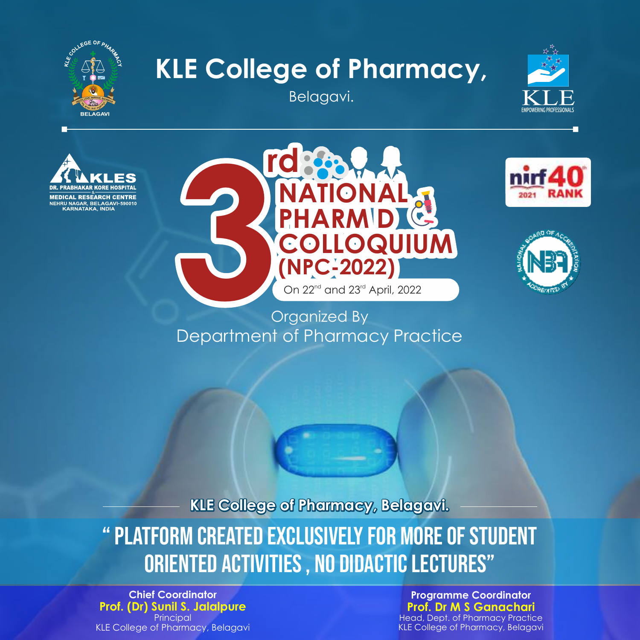

## **KLE College of Pharmacy,**

Belagavi.









## Organized By Department of Pharmacy Practice

**KLE College of Pharmacy, Belagavi.**

" PLATFORM CREATED EXCLUSIVELY FOR MORE OF STUDENT ORIENTED ACTIVITIES , NO DIDACTIC LECTURES"

**Chief Coordinator Prof. (Dr) Sunil S. Jalalpure Principal** KLE College of Pharmacy, Belagavi

**Programme Coordinator Prof. Dr M S Ganachari**

Head, Dept. of Pharmacy Practice KLE College of Pharmacy, Belagavi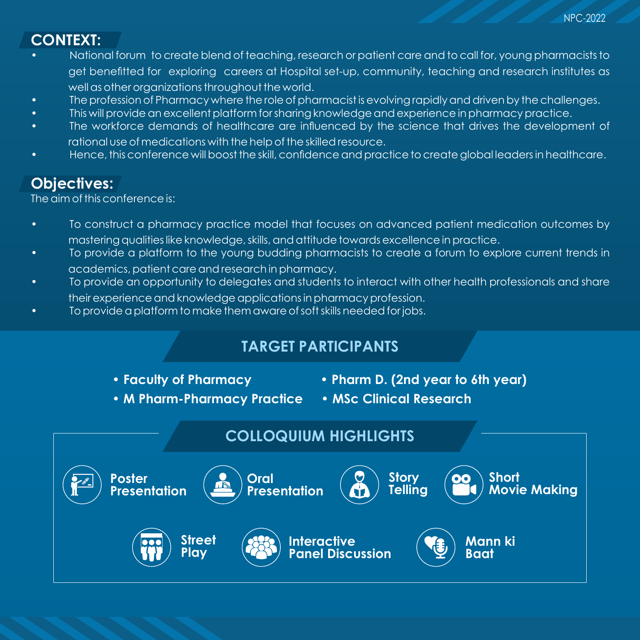NPC-2022

## **CONTEXT:**

- National forum to create blend of teaching, research or patient care and to call for, young pharmacists to get benetted for exploring careers at Hospital set-up, community, teaching and research institutes as well as other organizations throughout the world.
- The profession of Pharmacy where the role of pharmacist is evolving rapidly and driven by the challenges.
- This will provide an excellent platform for sharing knowledge and experience in pharmacy practice.
- The workforce demands of healthcare are influenced by the science that drives the development of rational use of medications with the help of the skilled resource.
- Hence, this conference will boost the skill, condence and practice to create global leaders in healthcare.

## **Objectives:**

The aim of this conference is:

- To construct a pharmacy practice model that focuses on advanced patient medication outcomes by mastering qualities like knowledge, skills, and attitude towards excellence in practice.
- To provide a platform to the young budding pharmacists to create a forum to explore current trends in academics, patient care and research in pharmacy.
- To provide an opportunity to delegates and students to interact with other health professionals and share their experience and knowledge applications in pharmacy profession.
- To provide a platform to make them aware of soft skills needed for jobs.

## **TARGET PARTICIPANTS**

- 
- **•Faculty of Pharmacy •Pharm D. (2nd year to 6th year)**
- **•M Pharm-Pharmacy Practice MSc Clinical Research**
- 

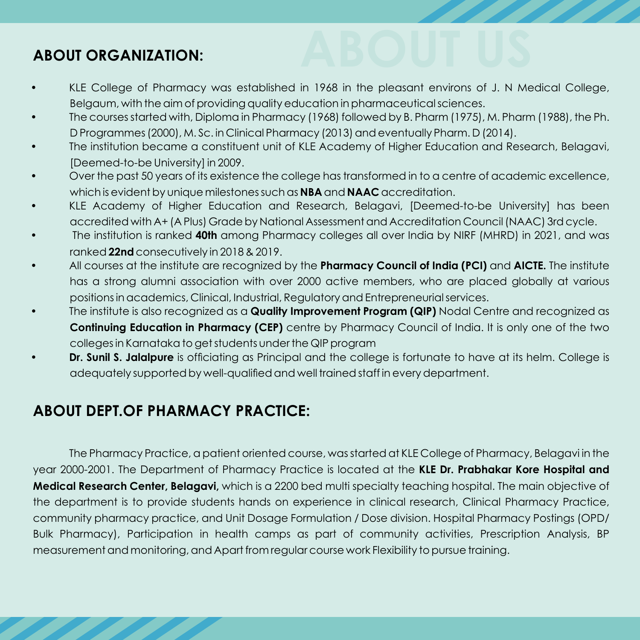# **ABOUT ORGANIZATION: ABOUT US**

- KLE College of Pharmacy was established in 1968 in the pleasant environs of J. N Medical College, Belgaum, with the aim of providing quality education in pharmaceutical sciences.
- The courses started with, Diploma in Pharmacy (1968) followed by B. Pharm (1975), M. Pharm (1988), the Ph. D Programmes (2000), M. Sc. in Clinical Pharmacy (2013) and eventually Pharm. D (2014).
- The institution became a constituent unit of KLE Academy of Higher Education and Research, Belagavi, [Deemed-to-be University] in 2009.
- Over the past 50 years of its existence the college has transformed in to a centre of academic excellence, which is evident by unique milestones such as **NBA** and **NAAC** accreditation.
- KLE Academy of Higher Education and Research, Belagavi, [Deemed-to-be University] has been accredited with A+ (A Plus) Grade by National Assessment and Accreditation Council (NAAC) 3rd cycle.
- The institution is ranked **40th** among Pharmacy colleges all over India by NIRF (MHRD) in 2021, and was ranked**22nd** consecutively in 2018 & 2019.
- All courses at the institute are recognized by the **Pharmacy Council of India (PCI)** and **AICTE.** The institute has a strong alumni association with over 2000 active members, who are placed globally at various positions in academics, Clinical, Industrial, Regulatory and Entrepreneurial services.
- The institute is also recognized as a **Quality Improvement Program (QIP)** Nodal Centre and recognized as **Continuing Education in Pharmacy (CEP)** centre by Pharmacy Council of India. It is only one of the two colleges in Karnataka to get students under the QIP program
- **Dr. Sunil S. Jalalpure** is officiating as Principal and the college is fortunate to have at its helm. College is adequately supported by well-qualified and well trained staff in every department.

## **ABOUT DEPT.OF PHARMACY PRACTICE:**

The Pharmacy Practice, a patient oriented course, was started at KLE College of Pharmacy, Belagavi in the year 2000-2001. The Department of Pharmacy Practice is located at the **KLE Dr. Prabhakar Kore Hospital and Medical Research Center, Belagavi,** which is a 2200 bed multi specialty teaching hospital. The main objective of the department is to provide students hands on experience in clinical research, Clinical Pharmacy Practice, community pharmacy practice, and Unit Dosage Formulation / Dose division. Hospital Pharmacy Postings (OPD/ Bulk Pharmacy), Participation in health camps as part of community activities, Prescription Analysis, BP measurement and monitoring, and Apart from regular course work Flexibility to pursue training.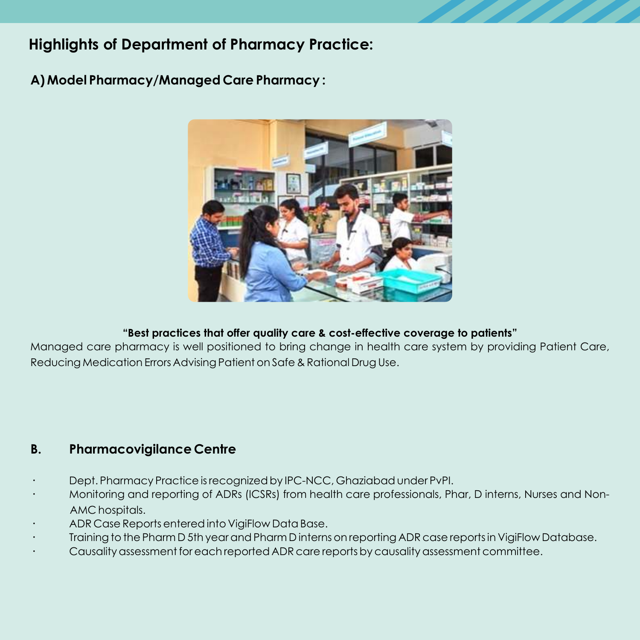## **Highlights of Department of Pharmacy Practice:**

**A) Model Pharmacy/Managed Care Pharmacy :**



#### **"Best practices that offer quality care & cost-effective coverage to patients"**

Managed care pharmacy is well positioned to bring change in health care system by providing Patient Care, Reducing Medication Errors Advising Patient on Safe & Rational Drug Use.

#### **B. Pharmacovigilance Centre**

- **·** Dept. Pharmacy Practice is recognized by IPC-NCC, Ghaziabad under PvPI.
- **·** Monitoring and reporting of ADRs (ICSRs) from health care professionals, Phar, D interns, Nurses and Non-AMC hospitals.
- **·** ADR Case Reports entered into VigiFlow Data Base.
- **·** Training to the Pharm D 5th year and Pharm D interns on reporting ADR case reports in VigiFlow Database.
- **·** Causality assessment for each reported ADR care reports by causality assessment committee.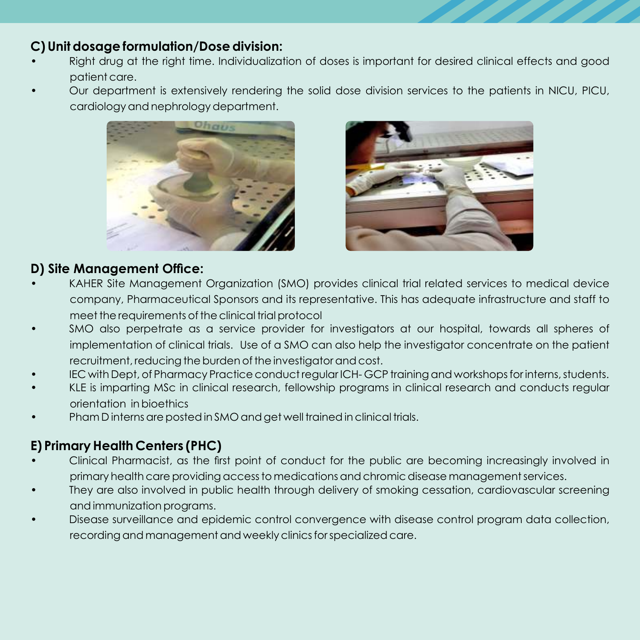#### **C) Unit dosage formulation/Dose division:**

- Right drug at the right time. Individualization of doses is important for desired clinical effects and good patient care.
- Our department is extensively rendering the solid dose division services to the patients in NICU, PICU, cardiology and nephrology department.





#### **D) Site Management Office:**

- KAHER Site Management Organization (SMO) provides clinical trial related services to medical device company, Pharmaceutical Sponsors and its representative. This has adequate infrastructure and staff to meet the requirements of the clinical trial protocol
- SMO also perpetrate as a service provider for investigators at our hospital, towards all spheres of implementation of clinical trials. Use of a SMO can also help the investigator concentrate on the patient recruitment, reducing the burden of the investigator and cost.
- IEC with Dept, of Pharmacy Practice conduct regular ICH- GCP training and workshops for interns, students.
- KLE is imparting MSc in clinical research, fellowship programs in clinical research and conducts regular orientation in bioethics
- Pham D interns are posted in SMO and get well trained in clinical trials.

#### **E) Primary Health Centers (PHC)**

- Clinical Pharmacist, as the first point of conduct for the public are becoming increasingly involved in primary health care providing access to medications and chromic disease management services.
- They are also involved in public health through delivery of smoking cessation, cardiovascular screening and immunization programs.
- Disease surveillance and epidemic control convergence with disease control program data collection, recording and management and weekly clinics for specialized care.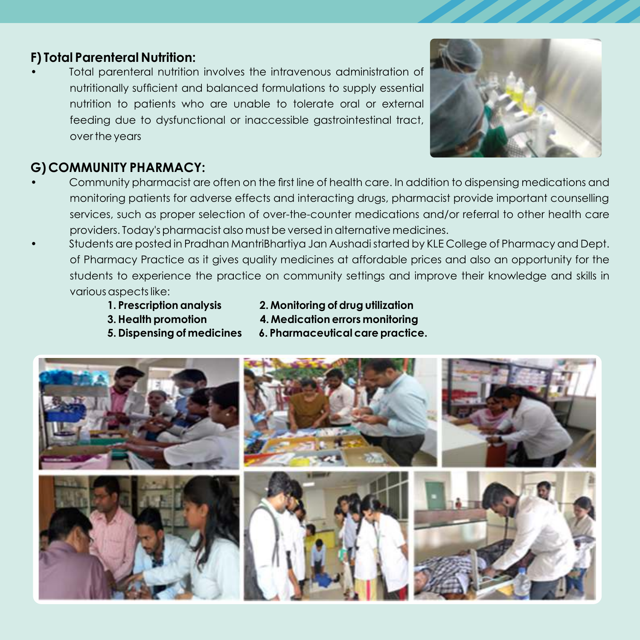## **F) Total Parenteral Nutrition:**

• Total parenteral nutrition involves the intravenous administration of nutritionally sufficient and balanced formulations to supply essential nutrition to patients who are unable to tolerate oral or external feeding due to dysfunctional or inaccessible gastrointestinal tract, over the years



#### **G) COMMUNITY PHARMACY:**

- Community pharmacist are often on the first line of health care. In addition to dispensing medications and monitoring patients for adverse effects and interacting drugs, pharmacist provide important counselling services, such as proper selection of over-the-counter medications and/or referral to other health care providers. Today's pharmacist also must be versed in alternative medicines.
- Students are posted in Pradhan MantriBhartiya Jan Aushadi started by KLE College of Pharmacy and Dept. of Pharmacy Practice as it gives quality medicines at affordable prices and also an opportunity for the students to experience the practice on community settings and improve their knowledge and skills in various aspects like:
	-
	- **1. Prescription analysis 2. Monitoring of drug utilization**
	- -
	- **3. Health promotion 4. Medication errors monitoring**
	- **5. Dispensing of medicines 6. Pharmaceutical care practice.**

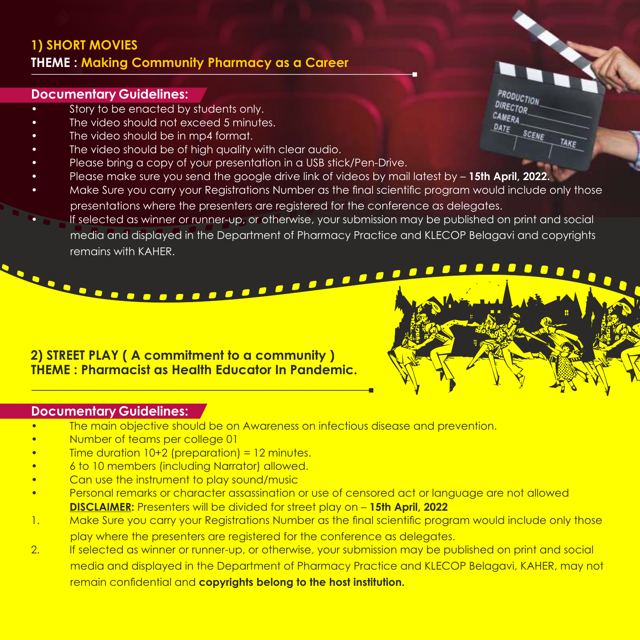## **1) SHORT MOVIES THEME : Making Community Pharmacy as a Career**

#### **Documentary Guidelines:**

- Story to be enacted by students only.
- The video should not exceed 5 minutes.
- The video should be in mp4 format.
- The video should be of high quality with clear audio.
- Please bring a copy of your presentation in a USB stick/Pen-Drive.
- Please make sure you send the google drive link of videos by mail latest by **15th April, 2022.**
- Make Sure you carry your Registrations Number as the final scientific program would include only those presentations where the presenters are registered for the conference as delegates.
- If selected as winner or runner-up, or otherwise, your submission may be published on print and social media and displayed in the Department of Pharmacy Practice and KLECOP Belagavi and copyrights remains with KAHER.

## **2) STREET PLAY ( A commitment to a community ) THEME : Pharmacist as Health Educator In Pandemic.**

<u>in de la comme de la comme de la comme de la comme de la comme de la comme de la comme de la comme de la comme</u>

#### **Documentary Guidelines:**

- The main objective should be on Awareness on infectious disease and prevention.
- Number of teams per college 01
- Time duration  $10+2$  (preparation) = 12 minutes.
- 6 to 10 members (including Narrator) allowed.
- Can use the instrument to play sound/music
- Personal remarks or character assassination or use of censored act or language are not allowed **DISCLAIMER:** Presenters will be divided for street play on – **15th April, 2022**
- 1. Make Sure you carry your Registrations Number as the final scientific program would include only those play where the presenters are registered for the conference as delegates.
- 2. If selected as winner or runner-up, or otherwise, your submission may be published on print and social media and displayed in the Department of Pharmacy Practice and KLECOP Belagavi, KAHER, may not remain confidential and **copyrights belong to the host institution.**

**PRODUCTION** DIRECTOR

> $\Box$  $\Box$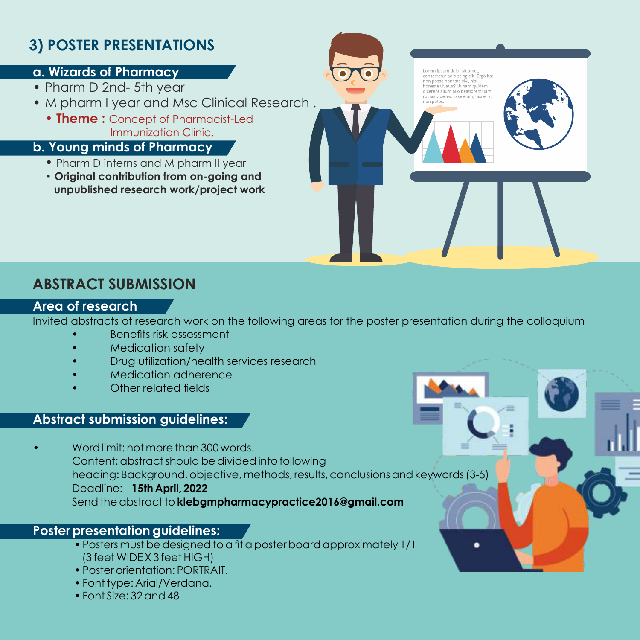## **3) POSTER PRESENTATIONS**

#### **a. Wizards of Pharmacy**

- Pharm D 2nd- 5th year
- M pharm I year and Msc Clinical Research .
	- **Theme :** Concept of Pharmacist-Led Immunization Clinic.

#### **b. Young minds of Pharmacy**

- Pharm D interns and M pharm II year
- **Original contribution from on-going and unpublished research work/project work**



## **ABSTRACT SUBMISSION**

#### **Area of research**

Invited abstracts of research work on the following areas for the poster presentation during the colloquium

- **Benefits risk assessment**
- Medication safety
- Drug utilization/health services research
- Medication adherence
- Other related fields

#### **Abstract submission guidelines:**

• Word limit: not more than 300 words. Content: abstract should be divided into following heading: Background, objective, methods, results, conclusions and keywords (3-5) Deadline: – **15th April, 2022** Send the abstract to **klebgmpharmacypractice2016@gmail.com**

#### **Poster presentation guidelines:**

- Posters must be designed to a fit a poster board approximately 1/1 (3 feet WIDE X 3 feet HIGH)
- Poster orientation: PORTRAIT.
- Font type: Arial/Verdana.
- Font Size: 32 and 48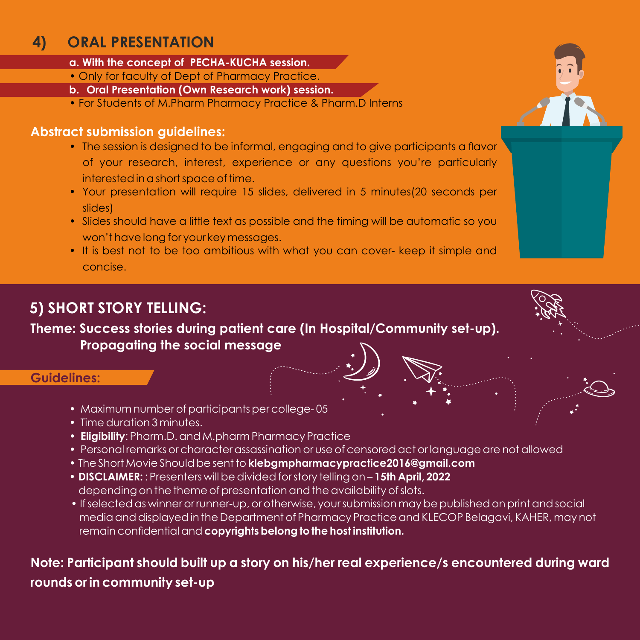## **4) ORAL PRESENTATION**

- **a. With the concept of PECHA-KUCHA session.**
- Only for faculty of Dept of Pharmacy Practice.
- **b. Oral Presentation (Own Research work) session.**
- For Students of M.Pharm Pharmacy Practice & Pharm.D Interns

#### **Abstract submission guidelines:**

- The session is designed to be informal, engaging and to give participants a flavor of your research, interest, experience or any questions you're particularly interested in a short space of time.
- Your presentation will require 15 slides, delivered in 5 minutes(20 seconds per slides)
- Slides should have a little text as possible and the timing will be automatic so you won't have long for your key messages.
- It is best not to be too ambitious with what you can cover- keep it simple and concise.

## **5) SHORT STORY TELLING:**

**Theme: Success stories during patient care (In Hospital/Community set-up). Propagating the social message**

#### **Guidelines:**

- Maximum number of participants per college- 05
- Time duration 3 minutes.
- • **Eligibility**: Pharm.D. and M.pharm Pharmacy Practice
- Personal remarks or character assassination or use of censored act or language are not allowed
- The Short Movie Should be sent to **klebgmpharmacypractice2016@gmail.com**
- **DISCLAIMER:** : Presenters will be divided for story telling on **15th April, 2022** depending on the theme of presentation and the availability of slots.
- If selected as winner or runner-up, or otherwise, your submission may be published on print and social media and displayed in the Department of Pharmacy Practice and KLECOP Belagavi, KAHER, may not remain confidential and **copyrights belong to the host institution.**

## **Note: Participant should built up a story on his/her real experience/s encountered during ward rounds or in community set-up**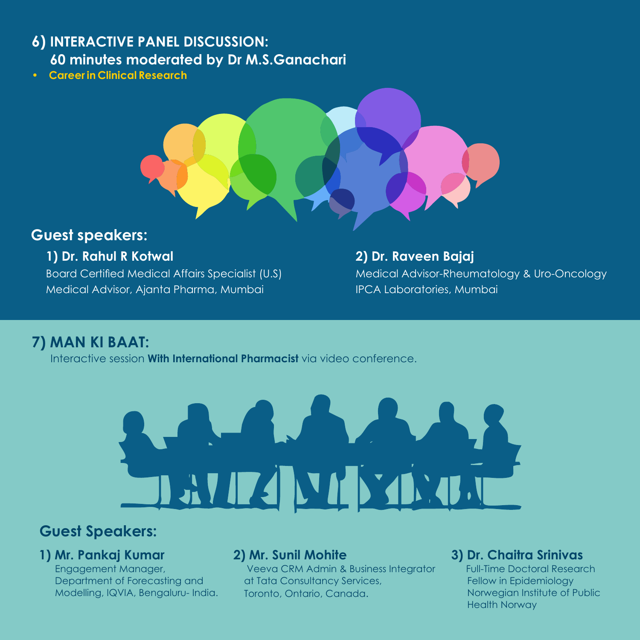## **6) INTERACTIVE PANEL DISCUSSION: 60 minutes moderated by Dr M.S.Ganachari**

**• Career in Clinical Research** 



## **Guest speakers:**

#### **1) Dr. Rahul R Kotwal**

Board Certified Medical Affairs Specialist (U.S) Medical Advisor, Ajanta Pharma, Mumbai

#### **2) Dr. Raveen Bajaj** Medical Advisor-Rheumatology & Uro-Oncology IPCA Laboratories, Mumbai

## **7) MAN KI BAAT:**

Interactive session **With International Pharmacist** via video conference.



## **Guest Speakers:**

#### **1) Mr. Pankaj Kumar**

 Engagement Manager, Department of Forecasting and Modelling, IQVIA, Bengaluru- India.

#### **2) Mr. Sunil Mohite**

 Veeva CRM Admin & Business Integrator at Tata Consultancy Services, Toronto, Ontario, Canada.

## **3) Dr. Chaitra Srinivas**

 Full-Time Doctoral Research Fellow in Epidemiology Norwegian Institute of Public Health Norway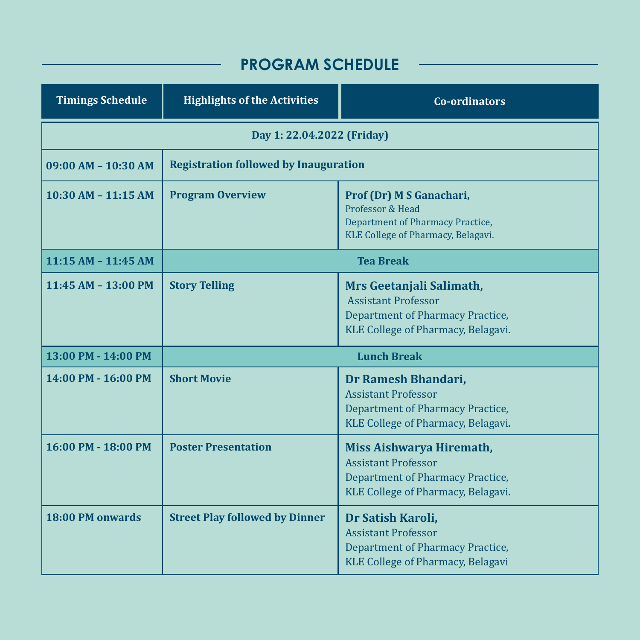## **PROGRAM SCHEDULE**

| <b>Timings Schedule</b>    | <b>Highlights of the Activities</b>          | <b>Co-ordinators</b>                                                                                                                    |
|----------------------------|----------------------------------------------|-----------------------------------------------------------------------------------------------------------------------------------------|
| Day 1: 22.04.2022 (Friday) |                                              |                                                                                                                                         |
| 09:00 AM - 10:30 AM        | <b>Registration followed by Inauguration</b> |                                                                                                                                         |
| $10:30$ AM $- 11:15$ AM    | <b>Program Overview</b>                      | Prof (Dr) M S Ganachari,<br>Professor & Head<br>Department of Pharmacy Practice,<br>KLE College of Pharmacy, Belagavi.                  |
| $11:15 AM - 11:45 AM$      | <b>Tea Break</b>                             |                                                                                                                                         |
| 11:45 AM - 13:00 PM        | <b>Story Telling</b>                         | Mrs Geetanjali Salimath,<br><b>Assistant Professor</b><br><b>Department of Pharmacy Practice,</b><br>KLE College of Pharmacy, Belagavi. |
| 13:00 PM - 14:00 PM        | <b>Lunch Break</b>                           |                                                                                                                                         |
| 14:00 PM - 16:00 PM        | <b>Short Movie</b>                           | Dr Ramesh Bhandari,<br><b>Assistant Professor</b><br><b>Department of Pharmacy Practice,</b><br>KLE College of Pharmacy, Belagavi.      |
| 16:00 PM - 18:00 PM        | <b>Poster Presentation</b>                   | Miss Aishwarya Hiremath,<br><b>Assistant Professor</b><br><b>Department of Pharmacy Practice,</b><br>KLE College of Pharmacy, Belagavi. |
| <b>18:00 PM onwards</b>    | <b>Street Play followed by Dinner</b>        | Dr Satish Karoli,<br><b>Assistant Professor</b><br>Department of Pharmacy Practice,<br>KLE College of Pharmacy, Belagavi                |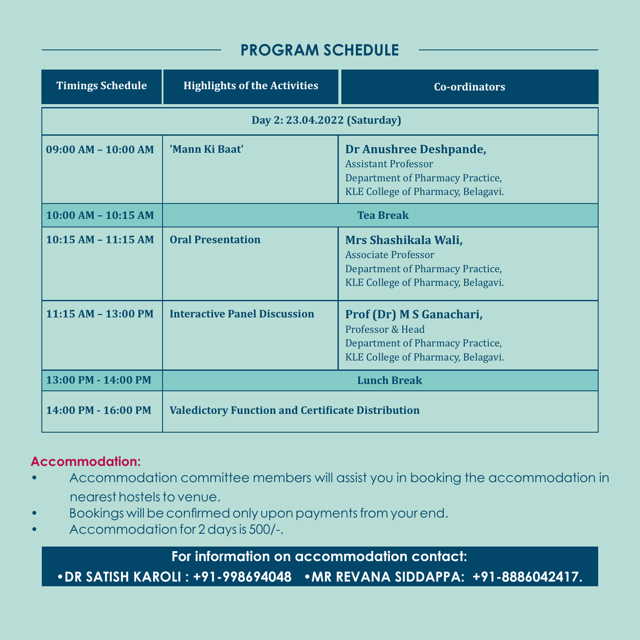## **PROGRAM SCHEDULE**

| <b>Timings Schedule</b>      | <b>Highlights of the Activities</b>                      | Co-ordinators                                                                                                                  |  |
|------------------------------|----------------------------------------------------------|--------------------------------------------------------------------------------------------------------------------------------|--|
| Day 2: 23.04.2022 (Saturday) |                                                          |                                                                                                                                |  |
| $09:00 AM - 10:00 AM$        | 'Mann Ki Baat'                                           | Dr Anushree Deshpande,<br><b>Assistant Professor</b><br>Department of Pharmacy Practice,<br>KLE College of Pharmacy, Belagavi. |  |
| $10:00$ AM - $10:15$ AM      | <b>Tea Break</b>                                         |                                                                                                                                |  |
| $10:15$ AM $- 11:15$ AM      | <b>Oral Presentation</b>                                 | Mrs Shashikala Wali,<br><b>Associate Professor</b><br>Department of Pharmacy Practice,<br>KLE College of Pharmacy, Belagavi.   |  |
| 11:15 AM - 13:00 PM          | <b>Interactive Panel Discussion</b>                      | Prof (Dr) M S Ganachari,<br>Professor & Head<br>Department of Pharmacy Practice,<br>KLE College of Pharmacy, Belagavi.         |  |
| 13:00 PM - 14:00 PM          | <b>Lunch Break</b>                                       |                                                                                                                                |  |
| 14:00 PM - 16:00 PM          | <b>Valedictory Function and Certificate Distribution</b> |                                                                                                                                |  |

#### **Accommodation:**

- Accommodation committee members will assist you in booking the accommodation in nearest hostels to venue.
- Bookings will be confirmed only upon payments from your end.
- Accommodation for 2 days is 500/-.

**For information on accommodation contact:**

• **DR SATISH KAROLI : +91-998694048 • MR REVANA SIDDAPPA: +91-8886042417.**